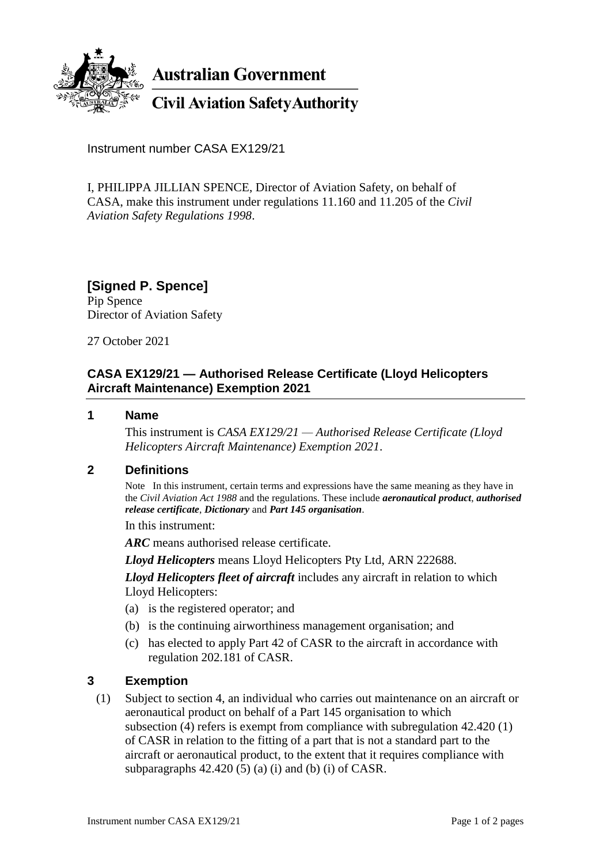

**Australian Government** 

# **Civil Aviation Safety Authority**

Instrument number CASA EX129/21

I, PHILIPPA JILLIAN SPENCE, Director of Aviation Safety, on behalf of CASA, make this instrument under regulations 11.160 and 11.205 of the *Civil Aviation Safety Regulations 1998*.

**[Signed P. Spence]** Pip Spence Director of Aviation Safety

27 October 2021

## **CASA EX129/21 — Authorised Release Certificate (Lloyd Helicopters Aircraft Maintenance) Exemption 2021**

#### **1 Name**

This instrument is *CASA EX129/21 — Authorised Release Certificate (Lloyd Helicopters Aircraft Maintenance) Exemption 2021*.

### **2 Definitions**

Note In this instrument, certain terms and expressions have the same meaning as they have in the *Civil Aviation Act 1988* and the regulations. These include *aeronautical product*, *authorised release certificate*, *Dictionary* and *Part 145 organisation*.

In this instrument:

*ARC* means authorised release certificate.

*Lloyd Helicopters* means Lloyd Helicopters Pty Ltd, ARN 222688.

*Lloyd Helicopters fleet of aircraft* includes any aircraft in relation to which Lloyd Helicopters:

- (a) is the registered operator; and
- (b) is the continuing airworthiness management organisation; and
- (c) has elected to apply Part 42 of CASR to the aircraft in accordance with regulation 202.181 of CASR.

### **3 Exemption**

(1) Subject to section 4, an individual who carries out maintenance on an aircraft or aeronautical product on behalf of a Part 145 organisation to which subsection (4) refers is exempt from compliance with subregulation 42.420 (1) of CASR in relation to the fitting of a part that is not a standard part to the aircraft or aeronautical product, to the extent that it requires compliance with subparagraphs  $42.420(5)$  (a) (i) and (b) (i) of CASR.